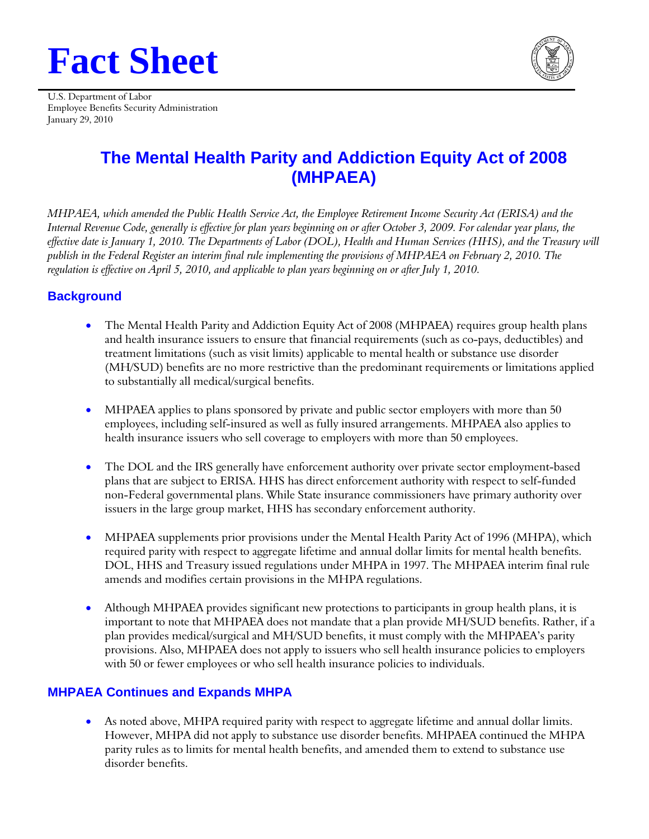# **Fact Sheet**



U.S. Department of Labor Employee Benefits Security Administration January 29, 2010

# **The Mental Health Parity and Addiction Equity Act of 2008 (MHPAEA)**

*MHPAEA, which amended the Public Health Service Act, the Employee Retirement Income Security Act (ERISA) and the Internal Revenue Code, generally is effective for plan years beginning on or after October 3, 2009. For calendar year plans, the effective date is January 1, 2010. The Departments of Labor (DOL), Health and Human Services (HHS), and the Treasury will publish in the Federal Register an interim final rule implementing the provisions of MHPAEA on February 2, 2010. The regulation is effective on April 5, 2010, and applicable to plan years beginning on or after July 1, 2010.* 

# **Background**

- The Mental Health Parity and Addiction Equity Act of 2008 (MHPAEA) requires group health plans and health insurance issuers to ensure that financial requirements (such as co-pays, deductibles) and treatment limitations (such as visit limits) applicable to mental health or substance use disorder (MH/SUD) benefits are no more restrictive than the predominant requirements or limitations applied to substantially all medical/surgical benefits.
- health insurance issuers who sell coverage to employers with more than 50 employees. MHPAEA applies to plans sponsored by private and public sector employers with more than 50 employees, including self-insured as well as fully insured arrangements. MHPAEA also applies to
- The DOL and the IRS generally have enforcement authority over private sector employment-based plans that are subject to ERISA. HHS has direct enforcement authority with respect to self-funded non-Federal governmental plans. While State insurance commissioners have primary authority over issuers in the large group market, HHS has secondary enforcement authority.
- MHPAEA supplements prior provisions under the Mental Health Parity Act of 1996 (MHPA), which required parity with respect to aggregate lifetime and annual dollar limits for mental health benefits. DOL, HHS and Treasury issued regulations under MHPA in 1997. The MHPAEA interim final rule amends and modifies certain provisions in the MHPA regulations.
- Although MHPAEA provides significant new protections to participants in group health plans, it is important to note that MHPAEA does not mandate that a plan provide MH/SUD benefits. Rather, if a plan provides medical/surgical and MH/SUD benefits, it must comply with the MHPAEA's parity provisions. Also, MHPAEA does not apply to issuers who sell health insurance policies to employers with 50 or fewer employees or who sell health insurance policies to individuals.

## **MHPAEA Continues and Expands MHPA**

 As noted above, MHPA required parity with respect to aggregate lifetime and annual dollar limits. However, MHPA did not apply to substance use disorder benefits. MHPAEA continued the MHPA parity rules as to limits for mental health benefits, and amended them to extend to substance use disorder benefits.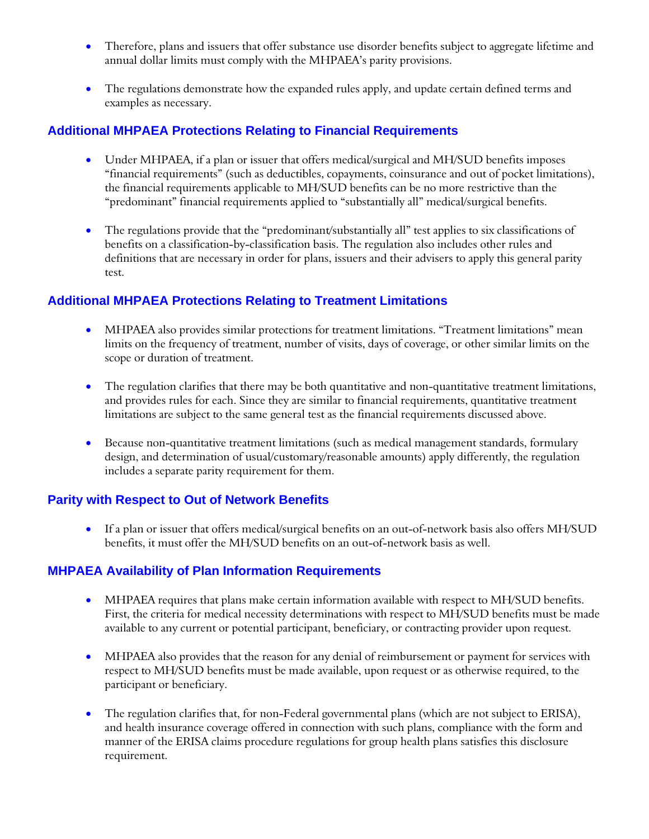- Therefore, plans and issuers that offer substance use disorder benefits subject to aggregate lifetime and annual dollar limits must comply with the MHPAEA's parity provisions.
- The regulations demonstrate how the expanded rules apply, and update certain defined terms and examples as necessary.

#### **Additional MHPAEA Protections Relating to Financial Requirements**

- Under MHPAEA, if a plan or issuer that offers medical/surgical and MH/SUD benefits imposes "financial requirements" (such as deductibles, copayments, coinsurance and out of pocket limitations), the financial requirements applicable to MH/SUD benefits can be no more restrictive than the "predominant" financial requirements applied to "substantially all" medical/surgical benefits.
- The regulations provide that the "predominant/substantially all" test applies to six classifications of benefits on a classification-by-classification basis. The regulation also includes other rules and definitions that are necessary in order for plans, issuers and their advisers to apply this general parity test.

#### **Additional MHPAEA Protections Relating to Treatment Limitations**

- MHPAEA also provides similar protections for treatment limitations. "Treatment limitations" mean limits on the frequency of treatment, number of visits, days of coverage, or other similar limits on the scope or duration of treatment.
- The regulation clarifies that there may be both quantitative and non-quantitative treatment limitations, and provides rules for each. Since they are similar to financial requirements, quantitative treatment limitations are subject to the same general test as the financial requirements discussed above.
- Because non-quantitative treatment limitations (such as medical management standards, formulary design, and determination of usual/customary/reasonable amounts) apply differently, the regulation includes a separate parity requirement for them.

#### **Parity with Respect to Out of Network Benefits**

 If a plan or issuer that offers medical/surgical benefits on an out-of-network basis also offers MH/SUD benefits, it must offer the MH/SUD benefits on an out-of-network basis as well.

## **MHPAEA Availability of Plan Information Requirements**

- MHPAEA requires that plans make certain information available with respect to MH/SUD benefits. First, the criteria for medical necessity determinations with respect to MH/SUD benefits must be made available to any current or potential participant, beneficiary, or contracting provider upon request.
- MHPAEA also provides that the reason for any denial of reimbursement or payment for services with respect to MH/SUD benefits must be made available, upon request or as otherwise required, to the participant or beneficiary.
- requirement. The regulation clarifies that, for non-Federal governmental plans (which are not subject to ERISA), and health insurance coverage offered in connection with such plans, compliance with the form and manner of the ERISA claims procedure regulations for group health plans satisfies this disclosure